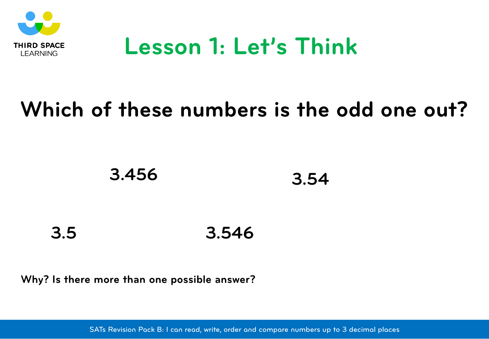

### **Lesson 1: Let's Think**

### **Which of these numbers is the odd one out?**



**3.546 3.5**

**Why? Is there more than one possible answer?**

SATs Revision Pack B: I can read, write, order and compare numbers up to 3 decimal places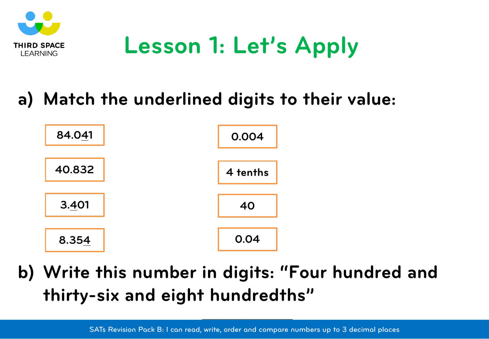

# **Lesson 1: Let's Apply**

#### **a) Match the underlined digits to their value:**



**b) Write this number in digits: "Four hundred and thirty-six and eight hundredths"**

**\_\_\_\_\_\_\_\_\_\_\_\_\_\_\_\_\_\_\_\_\_\_\_\_\_\_\_\_\_\_\_\_**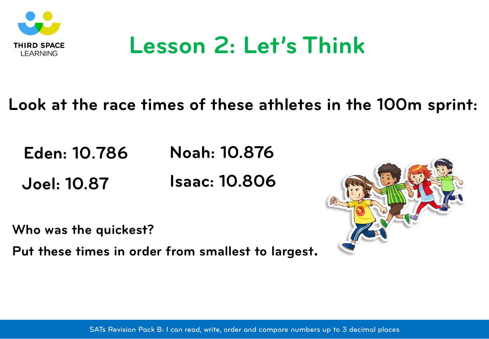

### **Lesson 2: Let's Think**

#### **Look at the race times of these athletes in the 100m sprint:**

**Eden: 10.786 Noah: 10.876**

**Joel: 10.87 Isaac: 10.806**

**Who was the quickest?**

**Put these times in order from smallest to largest.**

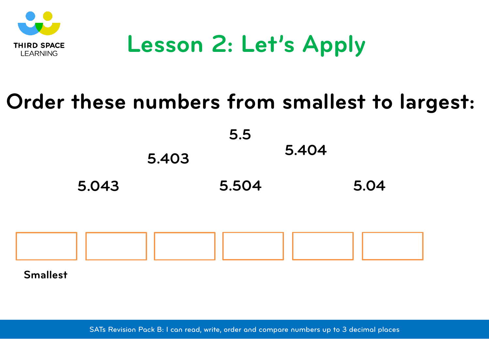

# **Lesson 2: Let's Apply**

#### **Order these numbers from smallest to largest:**

**5.043 5.403 5.504 5.404 5.04 5.5**



**Smallest**

SATs Revision Pack B: I can read, write, order and compare numbers up to 3 decimal places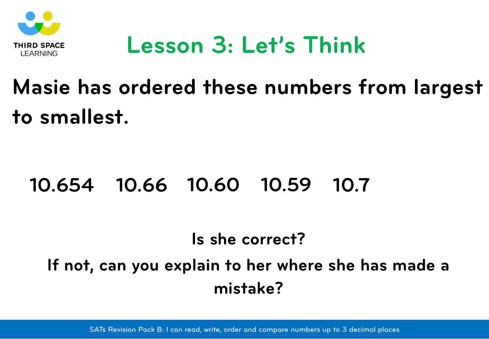

### **Lesson 3: Let's Think**

# **Masie has ordered these numbers from largest to smallest.**

#### **10.654 10.66 10.60 10.59 10.7**

#### **Is she correct?**

#### **If not, can you explain to her where she has made a mistake?**